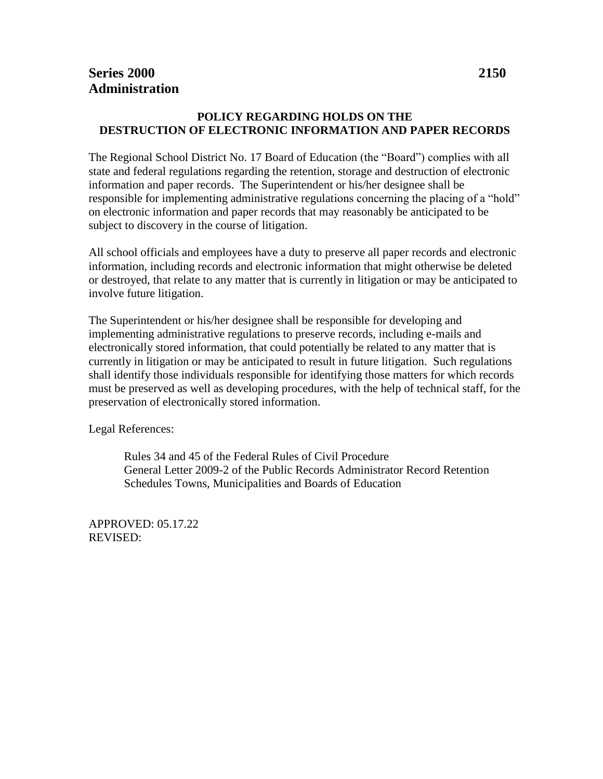## **POLICY REGARDING HOLDS ON THE DESTRUCTION OF ELECTRONIC INFORMATION AND PAPER RECORDS**

The Regional School District No. 17 Board of Education (the "Board") complies with all state and federal regulations regarding the retention, storage and destruction of electronic information and paper records. The Superintendent or his/her designee shall be responsible for implementing administrative regulations concerning the placing of a "hold" on electronic information and paper records that may reasonably be anticipated to be subject to discovery in the course of litigation.

All school officials and employees have a duty to preserve all paper records and electronic information, including records and electronic information that might otherwise be deleted or destroyed, that relate to any matter that is currently in litigation or may be anticipated to involve future litigation.

The Superintendent or his/her designee shall be responsible for developing and implementing administrative regulations to preserve records, including e-mails and electronically stored information, that could potentially be related to any matter that is currently in litigation or may be anticipated to result in future litigation. Such regulations shall identify those individuals responsible for identifying those matters for which records must be preserved as well as developing procedures, with the help of technical staff, for the preservation of electronically stored information.

Legal References:

Rules 34 and 45 of the Federal Rules of Civil Procedure General Letter 2009-2 of the Public Records Administrator Record Retention Schedules Towns, Municipalities and Boards of Education

APPROVED: 05.17.22 REVISED: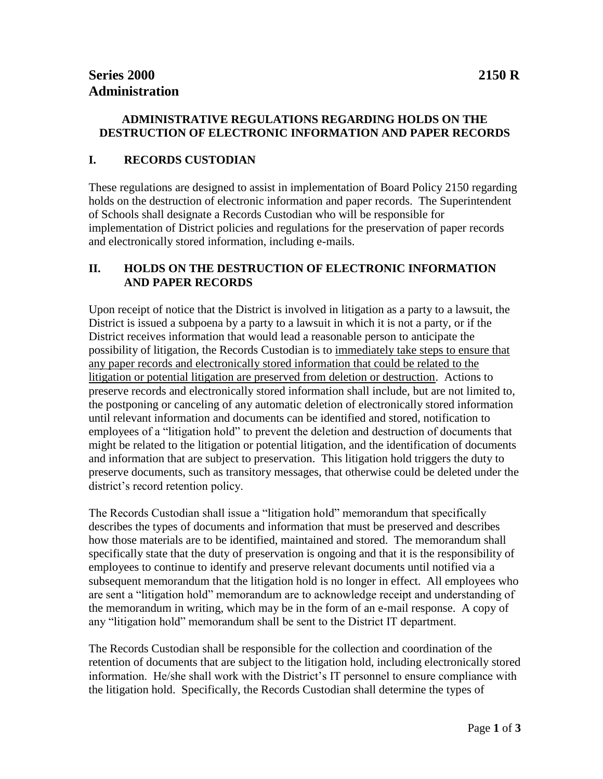## **I. RECORDS CUSTODIAN**

These regulations are designed to assist in implementation of Board Policy 2150 regarding holds on the destruction of electronic information and paper records. The Superintendent of Schools shall designate a Records Custodian who will be responsible for implementation of District policies and regulations for the preservation of paper records and electronically stored information, including e-mails.

## **II. HOLDS ON THE DESTRUCTION OF ELECTRONIC INFORMATION AND PAPER RECORDS**

Upon receipt of notice that the District is involved in litigation as a party to a lawsuit, the District is issued a subpoena by a party to a lawsuit in which it is not a party, or if the District receives information that would lead a reasonable person to anticipate the possibility of litigation, the Records Custodian is to immediately take steps to ensure that any paper records and electronically stored information that could be related to the litigation or potential litigation are preserved from deletion or destruction. Actions to preserve records and electronically stored information shall include, but are not limited to, the postponing or canceling of any automatic deletion of electronically stored information until relevant information and documents can be identified and stored, notification to employees of a "litigation hold" to prevent the deletion and destruction of documents that might be related to the litigation or potential litigation, and the identification of documents and information that are subject to preservation. This litigation hold triggers the duty to preserve documents, such as transitory messages, that otherwise could be deleted under the district's record retention policy.

The Records Custodian shall issue a "litigation hold" memorandum that specifically describes the types of documents and information that must be preserved and describes how those materials are to be identified, maintained and stored. The memorandum shall specifically state that the duty of preservation is ongoing and that it is the responsibility of employees to continue to identify and preserve relevant documents until notified via a subsequent memorandum that the litigation hold is no longer in effect. All employees who are sent a "litigation hold" memorandum are to acknowledge receipt and understanding of the memorandum in writing, which may be in the form of an e-mail response. A copy of any "litigation hold" memorandum shall be sent to the District IT department.

The Records Custodian shall be responsible for the collection and coordination of the retention of documents that are subject to the litigation hold, including electronically stored information. He/she shall work with the District's IT personnel to ensure compliance with the litigation hold. Specifically, the Records Custodian shall determine the types of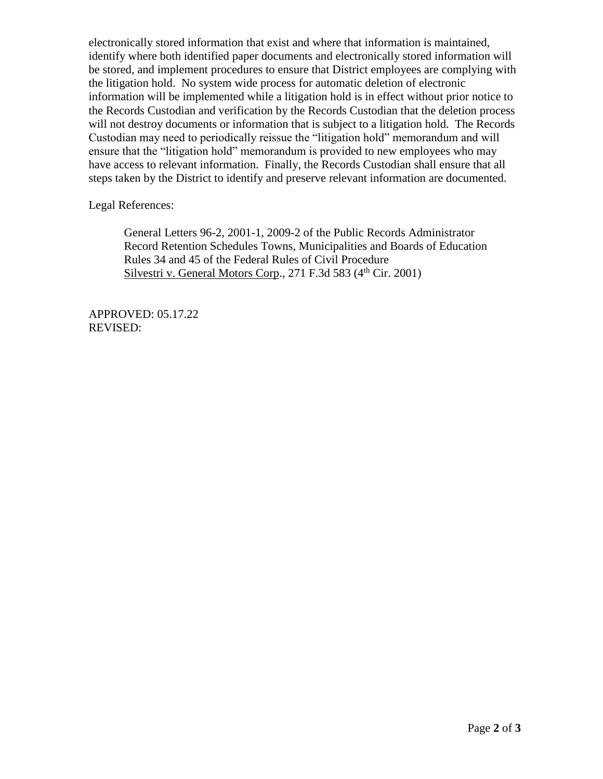electronically stored information that exist and where that information is maintained, identify where both identified paper documents and electronically stored information will be stored, and implement procedures to ensure that District employees are complying with the litigation hold. No system wide process for automatic deletion of electronic information will be implemented while a litigation hold is in effect without prior notice to the Records Custodian and verification by the Records Custodian that the deletion process will not destroy documents or information that is subject to a litigation hold. The Records Custodian may need to periodically reissue the "litigation hold" memorandum and will ensure that the "litigation hold" memorandum is provided to new employees who may have access to relevant information. Finally, the Records Custodian shall ensure that all steps taken by the District to identify and preserve relevant information are documented.

Legal References:

General Letters 96-2, 2001-1, 2009-2 of the Public Records Administrator Record Retention Schedules Towns, Municipalities and Boards of Education Rules 34 and 45 of the Federal Rules of Civil Procedure Silvestri v. General Motors Corp., 271 F.3d 583 (4<sup>th</sup> Cir. 2001)

APPROVED: 05.17.22 REVISED: